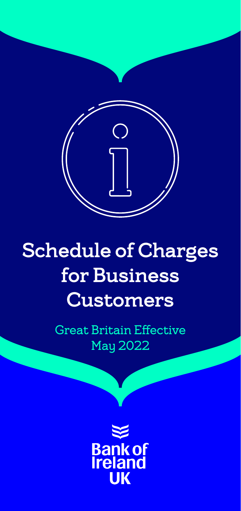

# Schedule of Charges for Business **Customers**

Great Britain Effective May 2022

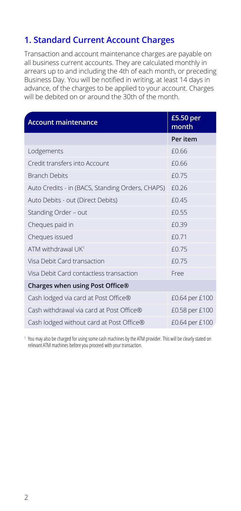#### **1. Standard Current Account Charges**

Transaction and account maintenance charges are payable on all business current accounts. They are calculated monthly in arrears up to and including the 4th of each month, or preceding Business Day. You will be notified in writing, at least 14 days in advance, of the charges to be applied to your account. Charges will be debited on or around the 30th of the month.

| <b>Account maintenance</b>                       | £5.50 per<br>month |
|--------------------------------------------------|--------------------|
|                                                  | Per item           |
| Lodgements                                       | £0.66              |
| Credit transfers into Account                    | £0.66              |
| <b>Branch Debits</b>                             | £0.75              |
| Auto Credits - in (BACS, Standing Orders, CHAPS) | £0.26              |
| Auto Debits - out (Direct Debits)                | f0.45              |
| Standing Order - out                             | f0.55              |
| Cheques paid in                                  | £0.39              |
| Cheques issued                                   | f(0.71)            |
| ATM withdrawal UK <sup>1</sup>                   | £0.75              |
| Visa Debit Card transaction                      | £0.75              |
| Visa Debit Card contactless transaction          | Free               |
| Charges when using Post Office®                  |                    |
| Cash lodged via card at Post Office®             | £0.64 per £100     |
| Cash withdrawal via card at Post Office®         | £0.58 per £100     |
| Cash lodged without card at Post Office®         | £0.64 per £100     |
|                                                  |                    |

<sup>1</sup> You may also be charged for using some cash machines by the ATM provider. This will be clearly stated on relevant ATM machines before you proceed with your transaction.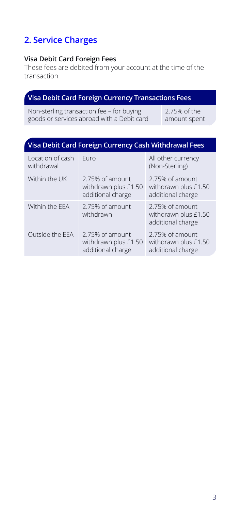# **2. Service Charges**

#### **Visa Debit Card Foreign Fees**

These fees are debited from your account at the time of the transaction.

#### **Visa Debit Card Foreign Currency Transactions Fees**

Non-sterling transaction fee – for buying goods or services abroad with a Debit card 2.75% of the amount spent

# **Visa Debit Card Foreign Currency Cash Withdrawal Fees**

| Location of cash<br>withdrawal | Furo                                                         | All other currency<br>(Non-Sterling)                         |
|--------------------------------|--------------------------------------------------------------|--------------------------------------------------------------|
| Within the UK                  | 2.75% of amount<br>withdrawn plus £1.50<br>additional charge | 2.75% of amount<br>withdrawn plus £1.50<br>additional charge |
| Within the EEA                 | 2.75% of amount<br>withdrawn                                 | 2.75% of amount<br>withdrawn plus £1.50<br>additional charge |
| Outside the EEA                | 2.75% of amount<br>withdrawn plus £1.50<br>additional charge | 2.75% of amount<br>withdrawn plus £1.50<br>additional charge |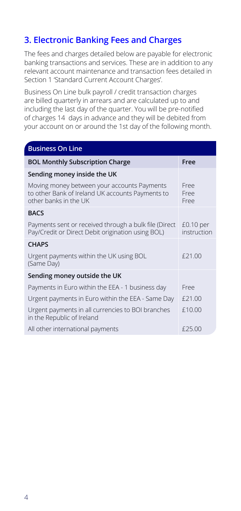#### **3. Electronic Banking Fees and Charges**

The fees and charges detailed below are payable for electronic banking transactions and services. These are in addition to any relevant account maintenance and transaction fees detailed in Section 1 'Standard Current Account Charges'.

Business On Line bulk payroll / credit transaction charges are billed quarterly in arrears and are calculated up to and including the last day of the quarter. You will be pre-notified of charges 14 days in advance and they will be debited from your account on or around the 1st day of the following month.

| <b>Business On Line</b>                                                                                                  |                            |
|--------------------------------------------------------------------------------------------------------------------------|----------------------------|
| <b>BOL Monthly Subscription Charge</b>                                                                                   | Free                       |
| Sending money inside the UK                                                                                              |                            |
| Moving money between your accounts Payments<br>to other Bank of Ireland UK accounts Payments to<br>other banks in the UK | Free<br>Free<br>Free       |
| <b>BACS</b>                                                                                                              |                            |
| Payments sent or received through a bulk file (Direct<br>Pay/Credit or Direct Debit origination using BOL)               | $£0.10$ per<br>instruction |
| <b>CHAPS</b>                                                                                                             |                            |
| Urgent payments within the UK using BOL<br>(Same Day)                                                                    | £21.00                     |
| Sending money outside the UK                                                                                             |                            |
| Payments in Euro within the EEA - 1 business day                                                                         | Free                       |
| Urgent payments in Euro within the EEA - Same Day                                                                        | £21.00                     |
| Urgent payments in all currencies to BOI branches<br>in the Republic of Ireland                                          | £10.00                     |
| All other international payments                                                                                         | £25.00                     |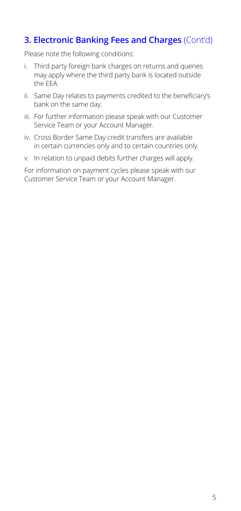#### **3. Electronic Banking Fees and Charges** (Cont'd)

Please note the following conditions:

- i. Third party foreign bank charges on returns and queries may apply where the third party bank is located outside the EEA.
- ii. Same Day relates to payments credited to the beneficiary's bank on the same day.
- iii. For further information please speak with our Customer Service Team or your Account Manager.
- iv. Cross Border Same Day credit transfers are available in certain currencies only and to certain countries only.
- v. In relation to unpaid debits further charges will apply.

For information on payment cycles please speak with our Customer Service Team or your Account Manager.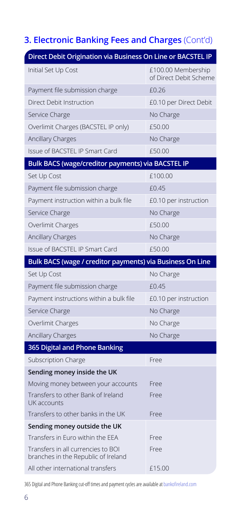# **3. Electronic Banking Fees and Charges** (Cont'd)

| Direct Debit Origination via Business On Line or BACSTEL IP               |                                              |
|---------------------------------------------------------------------------|----------------------------------------------|
| Initial Set Up Cost                                                       | £100.00 Membership<br>of Direct Debit Scheme |
| Payment file submission charge                                            | £0.26                                        |
| Direct Debit Instruction                                                  | £0.10 per Direct Debit                       |
| Service Charge                                                            | No Charge                                    |
| Overlimit Charges (BACSTEL IP only)                                       | £50.00                                       |
| <b>Ancillary Charges</b>                                                  | No Charge                                    |
| Issue of BACSTEL IP Smart Card                                            | £50.00                                       |
| Bulk BACS (wage/creditor payments) via BACSTEL IP                         |                                              |
| Set Up Cost                                                               | £100.00                                      |
| Payment file submission charge                                            | £0.45                                        |
| Payment instruction within a bulk file                                    | £0.10 per instruction                        |
| Service Charge                                                            | No Charge                                    |
| Overlimit Charges                                                         | £50.00                                       |
| <b>Ancillary Charges</b>                                                  | No Charge                                    |
| Issue of BACSTEL IP Smart Card                                            | £50.00                                       |
|                                                                           |                                              |
| Bulk BACS (wage / creditor payments) via Business On Line                 |                                              |
| Set Up Cost                                                               | No Charge                                    |
| Payment file submission charge                                            | £0.45                                        |
| Payment instructions within a bulk file                                   | £0.10 per instruction                        |
| Service Charge                                                            | No Charge                                    |
| Overlimit Charges                                                         | No Charge                                    |
| <b>Ancillary Charges</b>                                                  | No Charge                                    |
| 365 Digital and Phone Banking                                             |                                              |
| Subscription Charge                                                       | Free                                         |
| Sending money inside the UK                                               |                                              |
| Moving money between your accounts                                        | Free                                         |
| Transfers to other Bank of Ireland<br>UK accounts                         | Free                                         |
| Transfers to other banks in the UK                                        | Free                                         |
| Sending money outside the UK                                              |                                              |
| Transfers in Euro within the EEA                                          | Free                                         |
| Transfers in all currencies to BOI<br>branches in the Republic of Ireland | Free                                         |

365 Digital and Phone Banking cut-off times and payment cycles are available at bankofireland.com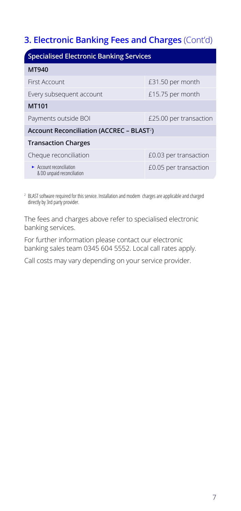#### **3. Electronic Banking Fees and Charges** (Cont'd)

| <b>Specialised Electronic Banking Services</b>                             |                        |  |
|----------------------------------------------------------------------------|------------------------|--|
| MT940                                                                      |                        |  |
| First Account                                                              | £31.50 per month       |  |
| Every subsequent account                                                   | £15.75 per month       |  |
| MT101                                                                      |                        |  |
| Payments outside BOI                                                       | £25.00 per transaction |  |
| Account Reconciliation (ACCREC - BLAST <sup>2</sup> )                      |                        |  |
| <b>Transaction Charges</b>                                                 |                        |  |
| Cheque reconciliation                                                      | £0.03 per transaction  |  |
| $\blacktriangleright$ Account reconciliation<br>& DD unpaid reconciliation | £0.05 per transaction  |  |

2 BLAST software required for this service. Installation and modem charges are applicable and charged directly by 3rd party provider.

The fees and charges above refer to specialised electronic banking services.

For further information please contact our electronic banking sales team 0345 604 5552. Local call rates apply.

Call costs may vary depending on your service provider.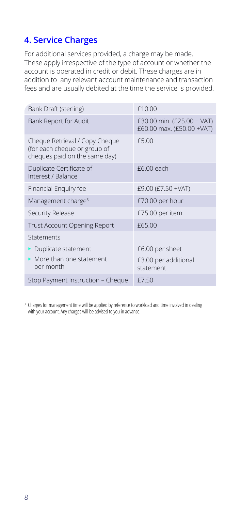#### **4. Service Charges**

For additional services provided, a charge may be made. These apply irrespective of the type of account or whether the account is operated in credit or debit. These charges are in addition to any relevant account maintenance and transaction fees and are usually debited at the time the service is provided.

| Bank Draft (sterling)                                                                           | £10.00                                                  |
|-------------------------------------------------------------------------------------------------|---------------------------------------------------------|
| Bank Report for Audit                                                                           | £30.00 min. (£25.00 + VAT)<br>£60.00 max. (£50.00 +VAT) |
| Cheque Retrieval / Copy Cheque<br>(for each cheque or group of<br>cheques paid on the same day) | £5.00                                                   |
| Duplicate Certificate of<br>Interest / Balance                                                  | £6.00 each                                              |
| Financial Enguiry fee                                                                           | £9.00 (£7.50 + VAT)                                     |
| Management charge <sup>3</sup>                                                                  | £70.00 per hour                                         |
| Security Release                                                                                | £75.00 per item                                         |
| Trust Account Opening Report                                                                    | £65.00                                                  |
| Statements                                                                                      |                                                         |
| Duplicate statement                                                                             | £6.00 per sheet                                         |
| • More than one statement<br>per month                                                          | £3.00 per additional<br>statement                       |
| Stop Payment Instruction - Cheque                                                               | £7.50                                                   |

<sup>3</sup> Charges for management time will be applied by reference to workload and time involved in dealing with your account. Any charges will be advised to you in advance.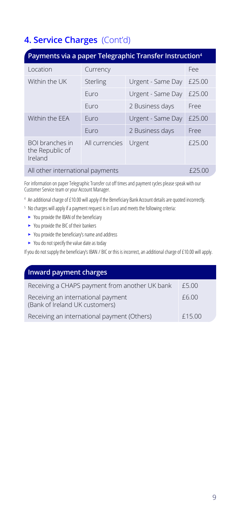# **4. Service Charges** (Cont'd)

| Payments via a paper Telegraphic Transfer Instruction <sup>4</sup> |                |                   |        |
|--------------------------------------------------------------------|----------------|-------------------|--------|
| Location                                                           | Currency       |                   | Fee    |
| Within the UK                                                      | Sterling       | Urgent - Same Day | £25.00 |
|                                                                    | Furo           | Urgent - Same Day | £25.00 |
|                                                                    | Furo           | 2 Business days   | Free   |
| Within the FFA                                                     | Furo           | Urgent - Same Day | £25.00 |
|                                                                    | Furo           | 2 Business days   | Free   |
| BOI branches in<br>the Republic of<br>Ireland                      | All currencies | Urgent            | £25.00 |
| All other international payments                                   |                |                   | £25.00 |

For information on paper Telegraphic Transfer cut off times and payment cycles please speak with our Customer Service team or your Account Manager.

- <sup>4</sup> An additional charge of £10.00 will apply if the Beneficiary Bank Account details are quoted incorrectly.
- <sup>5</sup> No charges will apply if a payment request is in Euro and meets the following criteria:
	- You provide the IBAN of the beneficiary
	- You provide the BIC of their bankers
	- $\blacktriangleright$  You provide the beneficiary's name and address
	- $\blacktriangleright$  You do not specify the value date as today

If you do not supply the beneficiary's IBAN / BIC or this is incorrect, an additional charge of £10.00 will apply.

| <b>Inward payment charges</b>                                        |        |
|----------------------------------------------------------------------|--------|
| Receiving a CHAPS payment from another UK bank                       | £5.00  |
| Receiving an international payment<br>(Bank of Ireland UK customers) | £6.00  |
| Receiving an international payment (Others)                          | £15.00 |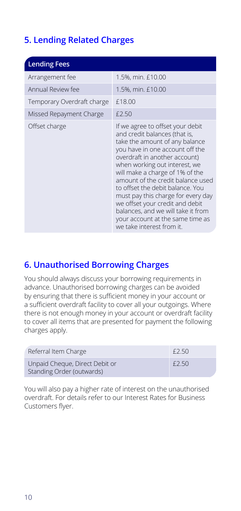# **5. Lending Related Charges**

| <b>Lending Fees</b>        |                                                                                                                                                                                                                                                                                                                                                                                                                                                                                                      |
|----------------------------|------------------------------------------------------------------------------------------------------------------------------------------------------------------------------------------------------------------------------------------------------------------------------------------------------------------------------------------------------------------------------------------------------------------------------------------------------------------------------------------------------|
| Arrangement fee            | 1.5%, min. £10.00                                                                                                                                                                                                                                                                                                                                                                                                                                                                                    |
| Annual Review fee          | 1.5%, min. £10.00                                                                                                                                                                                                                                                                                                                                                                                                                                                                                    |
| Temporary Overdraft charge | £18.00                                                                                                                                                                                                                                                                                                                                                                                                                                                                                               |
| Missed Repayment Charge    | £2.50                                                                                                                                                                                                                                                                                                                                                                                                                                                                                                |
| Offset charge              | If we agree to offset your debit<br>and credit balances (that is,<br>take the amount of any balance<br>you have in one account off the<br>overdraft in another account)<br>when working out interest, we<br>will make a charge of 1% of the<br>amount of the credit balance used<br>to offset the debit balance. You<br>must pay this charge for every day<br>we offset your credit and debit<br>balances, and we will take it from<br>your account at the same time as<br>we take interest from it. |

#### **6. Unauthorised Borrowing Charges**

You should always discuss your borrowing requirements in advance. Unauthorised borrowing charges can be avoided by ensuring that there is sufficient money in your account or a sufficient overdraft facility to cover all your outgoings. Where there is not enough money in your account or overdraft facility to cover all items that are presented for payment the following charges apply.

| Referral Item Charge                                        | f2.50 |
|-------------------------------------------------------------|-------|
| Unpaid Cheque, Direct Debit or<br>Standing Order (outwards) | f2.50 |

You will also pay a higher rate of interest on the unauthorised overdraft. For details refer to our Interest Rates for Business Customers flyer.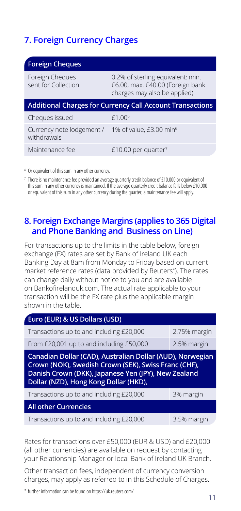#### **7. Foreign Currency Charges**

| <b>Foreign Cheques</b>                   |                                                                                                       |
|------------------------------------------|-------------------------------------------------------------------------------------------------------|
| Foreign Cheques<br>sent for Collection   | 0.2% of sterling equivalent: min.<br>£6.00, max. £40.00 (Foreign bank<br>charges may also be applied) |
|                                          | <b>Additional Charges for Currency Call Account Transactions</b>                                      |
| Cheques issued                           | $f1.00^{6}$                                                                                           |
| Currency note lodgement /<br>withdrawals | 1% of value, £3.00 min <sup>6</sup>                                                                   |
| Maintenance fee                          | £10.00 per quarter <sup>7</sup>                                                                       |

<sup>4</sup> Or equivalent of this sum in any other currency.

 $7$  There is no maintenance fee provided an average quarterly credit balance of £10,000 or equivalent of this sum in any other currency is maintained. If the average quarterly credit balance falls below £10,000 or equivalent of this sum in any other currency during the quarter, a maintenance fee will apply.

#### **8. Foreign Exchange Margins (applies to 365 Digital and Phone Banking and Business on Line)**

For transactions up to the limits in the table below, foreign exchange (FX) rates are set by Bank of Ireland UK each Banking Day at 8am from Monday to Friday based on current market reference rates (data provided by Reuters\* ). The rates can change daily without notice to you and are available on Bankofirelanduk.com. The actual rate applicable to your transaction will be the FX rate plus the applicable margin shown in the table.

| Euro (EUR) & US Dollars (USD)                                                                                                                                                                                     |              |  |
|-------------------------------------------------------------------------------------------------------------------------------------------------------------------------------------------------------------------|--------------|--|
| Transactions up to and including £20,000                                                                                                                                                                          | 2.75% margin |  |
| From £20,001 up to and including £50,000                                                                                                                                                                          | 2.5% margin  |  |
| Canadian Dollar (CAD), Australian Dollar (AUD), Norwegian<br>Crown (NOK), Swedish Crown (SEK), Swiss Franc (CHF),<br>Danish Crown (DKK), Japanese Yen (JPY), New Zealand<br>Dollar (NZD), Hong Kong Dollar (HKD), |              |  |
|                                                                                                                                                                                                                   |              |  |
| Transactions up to and including £20,000                                                                                                                                                                          | 3% margin    |  |
| <b>All other Currencies</b>                                                                                                                                                                                       |              |  |

Rates for transactions over £50,000 (EUR & USD) and £20,000 (all other currencies) are available on request by contacting your Relationship Manager or local Bank of Ireland UK Branch.

Other transaction fees, independent of currency conversion charges, may apply as referred to in this Schedule of Charges.

\* further information can be found on https://uk.reuters.com/